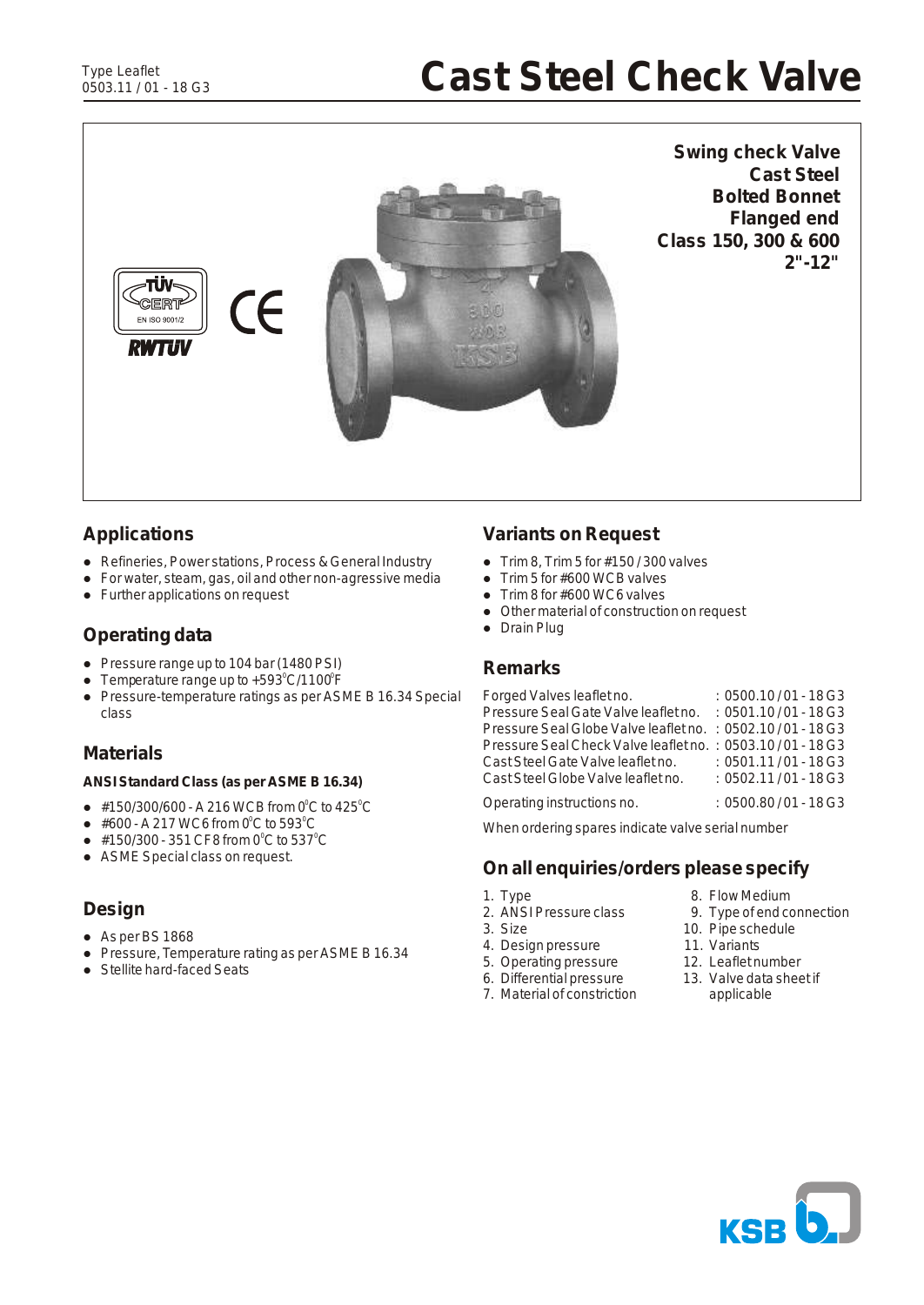# **Cast Steel Check Valve**



**Swing check Valve Cast Steel Bolted Bonnet Flanged end Class 150, 300 & 600 2"-12"**

# **Applications**

- Refineries, Power stations, Process & General Industry
- l For water, steam, gas, oil and other non-agressive media
- Further applications on request

# **Operating data**

- Pressure range up to 104 bar (1480 PSI)
- Temperature range up to  $+593^{\circ}$ C/1100 $^{\circ}$ F
- Pressure-temperature ratings as per ASME B 16.34 Special class

### **Materials**

**ANSI Standard Class (as per ASME B 16.34)**

- $\bullet$  #150/300/600 A 216 WCB from 0 $^{\circ}$ C to 425 $^{\circ}$ C
- $\bullet$  #600 A 217 WC6 from 0 $\rm ^{o}C$  to 593 $\rm ^{o}C$
- $\bullet$  #150/300 351 CF8 from 0 $^{\circ}$ C to 537 $^{\circ}$ C
- ASME Special class on request.

# **Design**

- $\bullet$  As per BS 1868
- Pressure, Temperature rating as per ASME B 16.34
- Stellite hard-faced Seats

# **Variants on Request**

- Trim 8, Trim 5 for  $\#150/300$  valves<br>
 Trim 5 for  $\#600$  WCB valves
- Trim 5 for  $#600$  WCB valves<br>• Trim 8 for  $#600$  WC6 valves
- Trim 8 for #600 WC6 valves
- Other material of construction on request
- Drain Plug

#### **Remarks**

| Forged Valves leaflet no.                                  | $:0500.10/01 - 18G3$   |
|------------------------------------------------------------|------------------------|
| Pressure Seal Gate Valve leaflet no.                       | $: 0501.10/01 - 18$ G3 |
| Pressure Seal Globe Valve leaflet no. : 0502.10/01 - 18 G3 |                        |
| Pressure Seal Check Valve leaflet no. : 0503.10/01 - 18 G3 |                        |
| Cast Steel Gate Valve leaflet no.                          | $: 0501.11/01 - 18$ G3 |
| Cast Steel Globe Valve leaflet no.                         | $: 0502.11/01 - 18$ G3 |
| Operating instructions no.                                 | $:0500.80/01 - 18 G3$  |

When ordering spares indicate valve serial number

#### **On all enquiries/orders please specify**

- 
- 1. Type 2. Flow Medium<br>
2. ANSI Pressure class 2. Type of end compared by 2. Type of end compared by 2. Type of end compared by 2. Typ
- 
- 
- 4. Design pressure 11. Variants<br>5. Operating pressure 12. Leaflet number
- 5. Operating pressure 12. Leaflet number<br>6. Differential pressure 13. Valve data sheet if
- 7. Material of constriction
- 
- 2. ANSI Pressure class 9. Type of end connection<br>3. Size 10. Pipe schedule
	- 10. Pipe schedule<br>11. Variants
	-
	-
- 6. Differential pressure 13. Valve data<br>
7. Material of constriction applicable

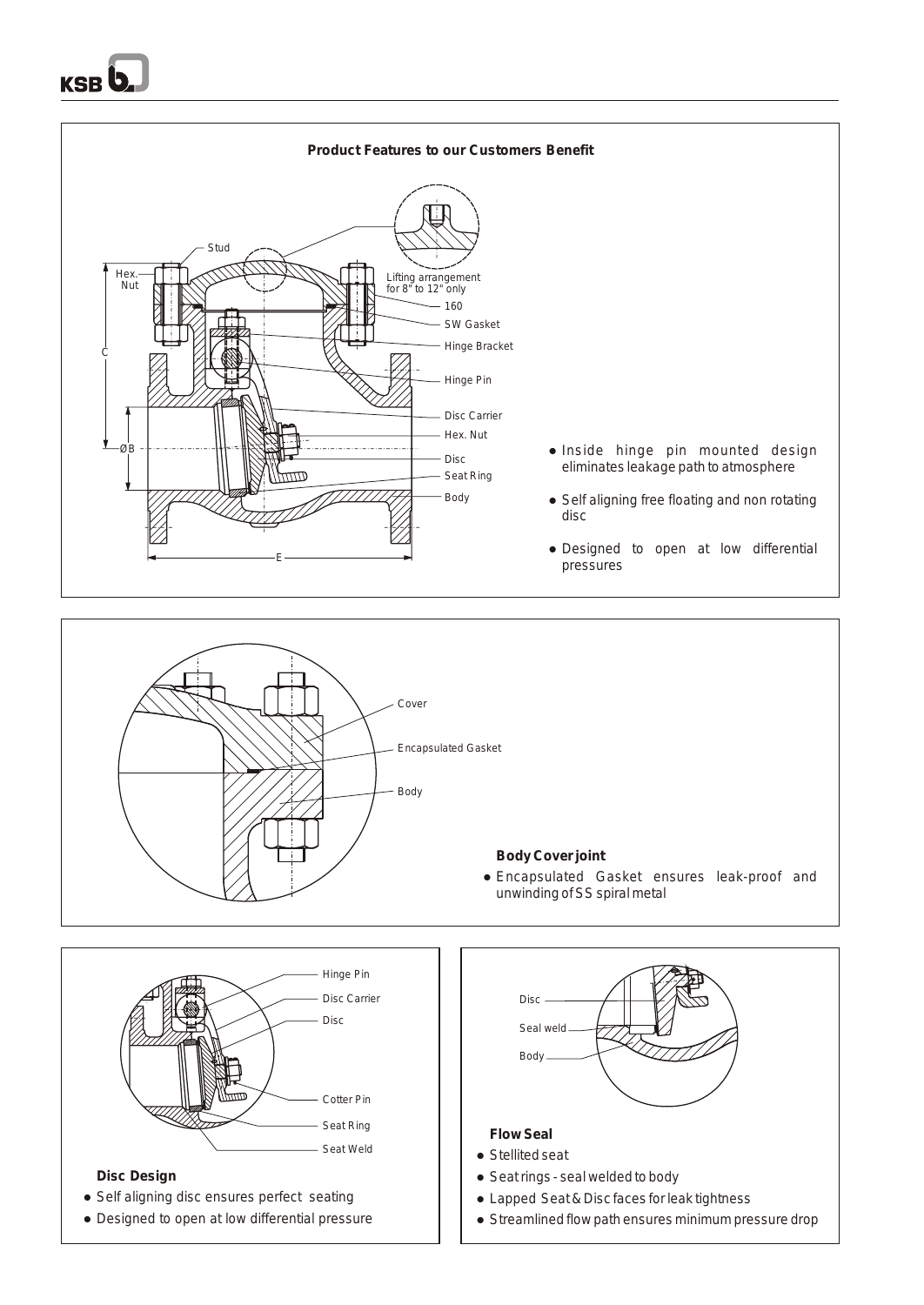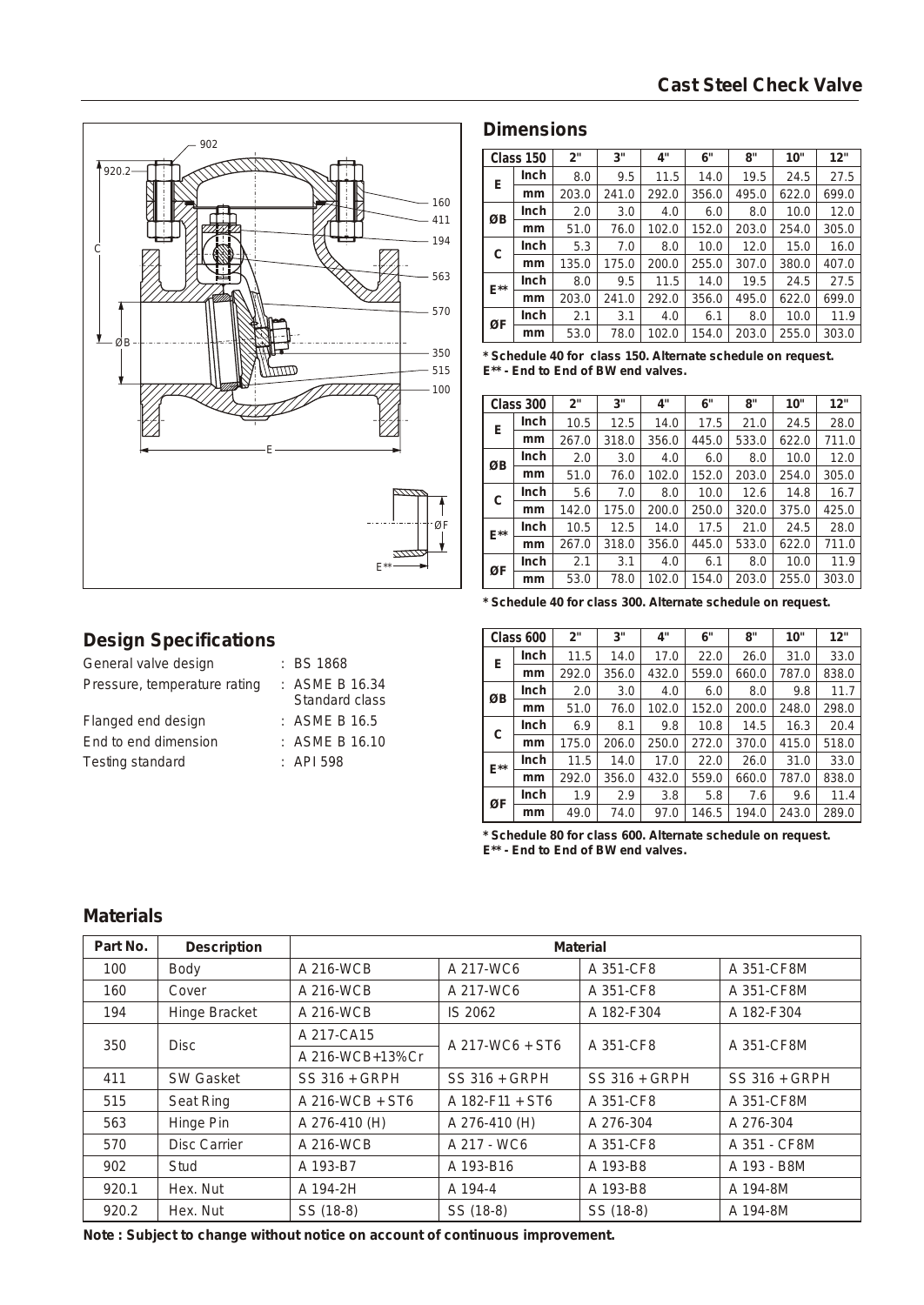

# **Dimensions**

|          | Class 150 | 2"    | 3"    | 4"    | 6"    | 8"    | 10"   | 12"   |
|----------|-----------|-------|-------|-------|-------|-------|-------|-------|
| Е        | Inch      | 8.0   | 9.5   | 11.5  | 14.0  | 19.5  | 24.5  | 27.5  |
|          | mm        | 203.0 | 241.0 | 292.0 | 356.0 | 495.0 | 622.0 | 699.0 |
| ØB       | Inch      | 2.0   | 3.0   | 4.0   | 6.0   | 8.0   | 10.0  | 12.0  |
|          | mm        | 51.0  | 76.0  | 102.0 | 152.0 | 203.0 | 254.0 | 305.0 |
| С        | Inch      | 5.3   | 7.0   | 8.0   | 10.0  | 12.0  | 15.0  | 16.0  |
|          | mm        | 135.0 | 175.0 | 200.0 | 255.0 | 307.0 | 380.0 | 407.0 |
| $E^{**}$ | Inch      | 8.0   | 9.5   | 11.5  | 14.0  | 19.5  | 24.5  | 27.5  |
|          | mm        | 203.0 | 241.0 | 292.0 | 356.0 | 495.0 | 622.0 | 699.0 |
| ØF       | Inch      | 2.1   | 3.1   | 4.0   | 6.1   | 8.0   | 10.0  | 11.9  |
|          | mm        | 53.0  | 78.0  | 102.0 | 154.0 | 203.0 | 255.0 | 303.0 |

**\* Schedule 40 for class 150. Alternate schedule on request. E\*\* - End to End of BW end valves.**

|          | Class 300 | 2"    | 3"    | 4"    | 6"    | 8"    | 10"   | 12"   |
|----------|-----------|-------|-------|-------|-------|-------|-------|-------|
| Ε        | Inch      | 10.5  | 12.5  | 14.0  | 17.5  | 21.0  | 24.5  | 28.0  |
|          | mm        | 267.0 | 318.0 | 356.0 | 445.0 | 533.0 | 622.0 | 711.0 |
| ØB       | Inch      | 2.0   | 3.0   | 4.0   | 6.0   | 8.0   | 10.0  | 12.0  |
|          | mm        | 51.0  | 76.0  | 102.0 | 152.0 | 203.0 | 254.0 | 305.0 |
| С        | Inch      | 5.6   | 7.0   | 8.0   | 10.0  | 12.6  | 14.8  | 16.7  |
|          | mm        | 142.0 | 175.0 | 200.0 | 250.0 | 320.0 | 375.0 | 425.0 |
| $E^{**}$ | Inch      | 10.5  | 12.5  | 14.0  | 17.5  | 21.0  | 24.5  | 28.0  |
|          | mm        | 267.0 | 318.0 | 356.0 | 445.0 | 533.0 | 622.0 | 711.0 |
| ØF       | Inch      | 2.1   | 3.1   | 4.0   | 6.1   | 8.0   | 10.0  | 11.9  |
|          | mm        | 53.0  | 78.0  | 102.0 | 154.0 | 203.0 | 255.0 | 303.0 |

# **Design Specifications**

| General valve design         | : BS 1868                        |
|------------------------------|----------------------------------|
| Pressure, temperature rating | : ASME B 16.34<br>Standard class |
| Flanged end design           | : ASME B 16.5                    |
| End to end dimension         | $:$ ASME B 16.10                 |
| Testing standard             | $\pm$ API 598                    |

**\* Schedule 40 for class 300. Alternate schedule on request.**

|           | Class 600 | 2"    | 3"    | 4"    | 6"    | 8"    | 10"   | 12"   |
|-----------|-----------|-------|-------|-------|-------|-------|-------|-------|
| E         | Inch      | 11.5  | 14.0  | 17.0  | 22.0  | 26.0  | 31.0  | 33.0  |
|           | mm        | 292.0 | 356.0 | 432.0 | 559.0 | 660.0 | 787.0 | 838.0 |
| ØΒ        | Inch      | 2.0   | 3.0   | 4.0   | 6.0   | 8.0   | 9.8   | 11.7  |
|           | mm        | 51.0  | 76.0  | 102.0 | 152.0 | 200.0 | 248.0 | 298.0 |
| $\subset$ | Inch      | 6.9   | 8.1   | 9.8   | 10.8  | 14.5  | 16.3  | 20.4  |
|           | mm        | 175.0 | 206.0 | 250.0 | 272.0 | 370.0 | 415.0 | 518.0 |
| $E^{**}$  | Inch      | 11.5  | 14.0  | 17.0  | 22.0  | 26.0  | 31.0  | 33.0  |
|           | mm        | 292.0 | 356.0 | 432.0 | 559.0 | 660.0 | 787.0 | 838.0 |
| ØF        | Inch      | 1.9   | 2.9   | 3.8   | 5.8   | 7.6   | 9.6   | 11.4  |
|           | mm        | 49.0  | 74.0  | 97.0  | 146.5 | 194.0 | 243.0 | 289.0 |

**\* Schedule 80 for class 600. Alternate schedule on request. E\*\* - End to End of BW end valves.**

### **Materials**

| Part No. | Description         | Material        |                   |                 |                 |  |  |  |
|----------|---------------------|-----------------|-------------------|-----------------|-----------------|--|--|--|
| 100      | Body                | A 216-WCB       | A 217-WC6         | A 351-CF8       | A 351-CF8M      |  |  |  |
| 160      | Cover               | A 216-WCB       | A 217-WC6         | A 351-CF8       | A 351-CF8M      |  |  |  |
| 194      | Hinge Bracket       | A 216-WCB       | IS 2062           | A 182-F304      | A 182-F304      |  |  |  |
| 350      | <b>Disc</b>         | A 217-CA15      | $A$ 217-WC6 + ST6 | A 351-CF8       | A 351-CF8M      |  |  |  |
|          |                     | A 216-WCB+13%Cr |                   |                 |                 |  |  |  |
| 411      | <b>SW Gasket</b>    | SS 316 + GRPH   | $SS 316 + GRPH$   | $SS 316 + GRPH$ | $SS 316 + GRPH$ |  |  |  |
| 515      | Seat Ring           | A 216-WCB + ST6 | $A$ 182-F11 + ST6 | A 351-CF8       | A 351-CF8M      |  |  |  |
| 563      | Hinge Pin           | A 276-410 (H)   | A 276-410 (H)     | A 276-304       | A 276-304       |  |  |  |
| 570      | <b>Disc Carrier</b> | A 216-WCB       | A 217 - WC6       | A 351-CF8       | A 351 - CF8M    |  |  |  |
| 902      | Stud                | A 193-B7        | A 193-B16         | A 193-B8        | A 193 - B8M     |  |  |  |
| 920.1    | Hex. Nut            | A 194-2H        | A 194-4           | A 193-B8        | A 194-8M        |  |  |  |
| 920.2    | Hex. Nut            | SS (18-8)       | SS (18-8)         | SS (18-8)       | A 194-8M        |  |  |  |

**Note : Subject to change without notice on account of continuous improvement.**